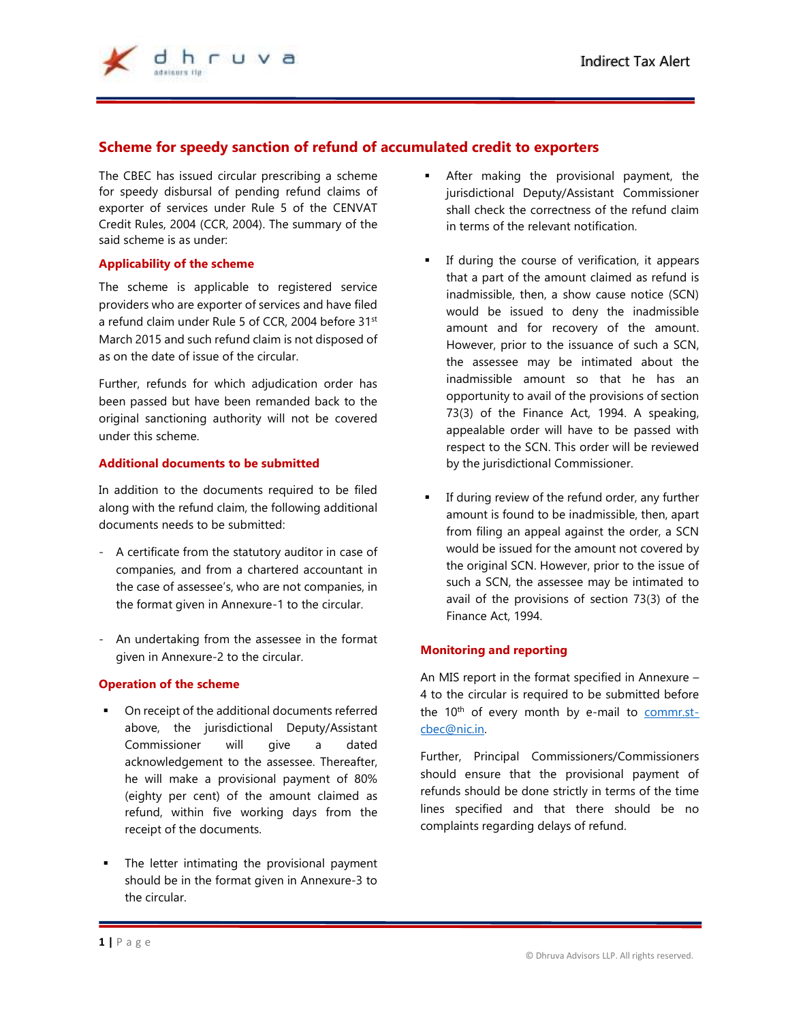

# **Scheme for speedy sanction of refund of accumulated credit to exporters**

 $\overline{a}$ 

The CBEC has issued circular prescribing a scheme for speedy disbursal of pending refund claims of exporter of services under Rule 5 of the CENVAT Credit Rules, 2004 (CCR, 2004). The summary of the said scheme is as under:

## **Applicability of the scheme**

The scheme is applicable to registered service providers who are exporter of services and have filed a refund claim under Rule 5 of CCR, 2004 before 31st March 2015 and such refund claim is not disposed of as on the date of issue of the circular.

Further, refunds for which adjudication order has been passed but have been remanded back to the original sanctioning authority will not be covered under this scheme.

## **Additional documents to be submitted**

In addition to the documents required to be filed along with the refund claim, the following additional documents needs to be submitted:

- A certificate from the statutory auditor in case of companies, and from a chartered accountant in the case of assessee's, who are not companies, in the format given in Annexure-1 to the circular.
- An undertaking from the assessee in the format given in Annexure-2 to the circular.

## **Operation of the scheme**

- On receipt of the additional documents referred above, the jurisdictional Deputy/Assistant Commissioner will give a dated acknowledgement to the assessee. Thereafter, he will make a provisional payment of 80% (eighty per cent) of the amount claimed as refund, within five working days from the receipt of the documents.
- The letter intimating the provisional payment should be in the format given in Annexure-3 to the circular.
- After making the provisional payment, the jurisdictional Deputy/Assistant Commissioner shall check the correctness of the refund claim in terms of the relevant notification.
- **If during the course of verification, it appears** that a part of the amount claimed as refund is inadmissible, then, a show cause notice (SCN) would be issued to deny the inadmissible amount and for recovery of the amount. However, prior to the issuance of such a SCN, the assessee may be intimated about the inadmissible amount so that he has an opportunity to avail of the provisions of section 73(3) of the Finance Act, 1994. A speaking, appealable order will have to be passed with respect to the SCN. This order will be reviewed by the jurisdictional Commissioner.
- If during review of the refund order, any further amount is found to be inadmissible, then, apart from filing an appeal against the order, a SCN would be issued for the amount not covered by the original SCN. However, prior to the issue of such a SCN, the assessee may be intimated to avail of the provisions of section 73(3) of the Finance Act, 1994.

## **Monitoring and reporting**

An MIS report in the format specified in Annexure – 4 to the circular is required to be submitted before the  $10<sup>th</sup>$  of every month by e-mail to commr.stcbec@nic.in.

Further, Principal Commissioners/Commissioners should ensure that the provisional payment of refunds should be done strictly in terms of the time lines specified and that there should be no complaints regarding delays of refund.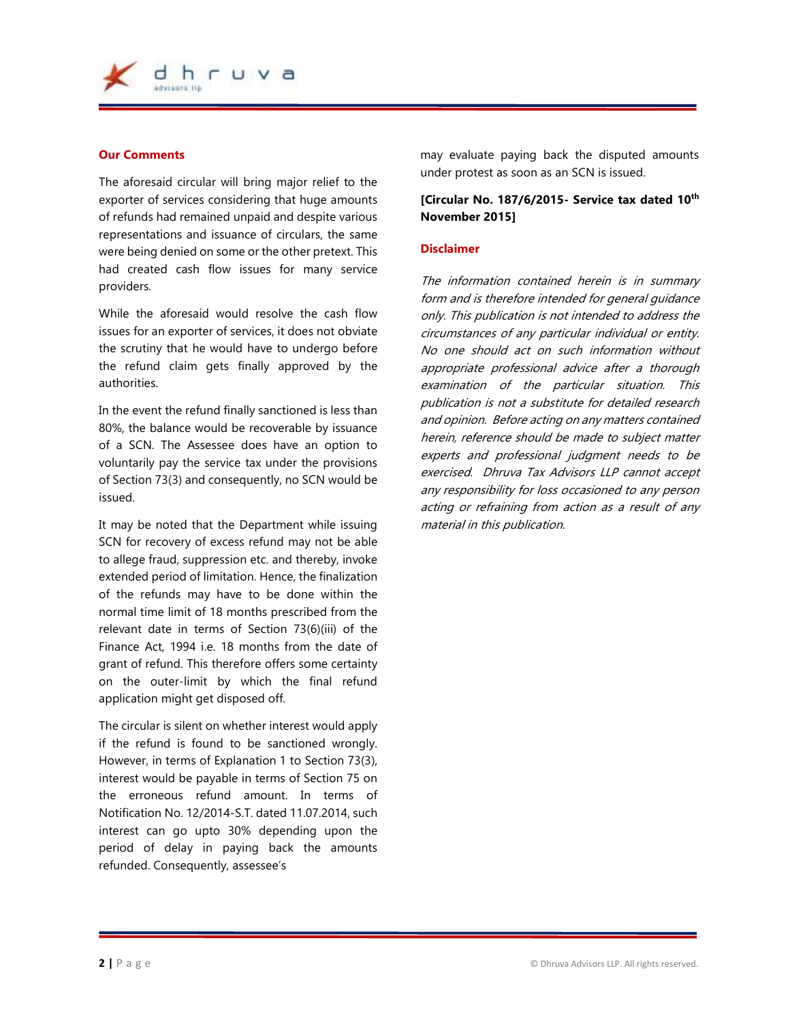

#### **Our Comments**

The aforesaid circular will bring major relief to the exporter of services considering that huge amounts of refunds had remained unpaid and despite various representations and issuance of circulars, the same were being denied on some or the other pretext. This had created cash flow issues for many service providers.

While the aforesaid would resolve the cash flow issues for an exporter of services, it does not obviate the scrutiny that he would have to undergo before the refund claim gets finally approved by the authorities.

In the event the refund finally sanctioned is less than 80%, the balance would be recoverable by issuance of a SCN. The Assessee does have an option to voluntarily pay the service tax under the provisions of Section 73(3) and consequently, no SCN would be issued.

It may be noted that the Department while issuing SCN for recovery of excess refund may not be able to allege fraud, suppression etc. and thereby, invoke extended period of limitation. Hence, the finalization of the refunds may have to be done within the normal time limit of 18 months prescribed from the relevant date in terms of Section 73(6)(iii) of the Finance Act, 1994 i.e. 18 months from the date of grant of refund. This therefore offers some certainty on the outer-limit by which the final refund application might get disposed off.

The circular is silent on whether interest would apply if the refund is found to be sanctioned wrongly. However, in terms of Explanation 1 to Section 73(3), interest would be payable in terms of Section 75 on the erroneous refund amount. In terms of Notification No. 12/2014-S.T. dated 11.07.2014, such interest can go upto 30% depending upon the period of delay in paying back the amounts refunded. Consequently, assessee's

may evaluate paying back the disputed amounts under protest as soon as an SCN is issued.

## **[Circular No. 187/6/2015- Service tax dated 10th November 2015]**

#### **Disclaimer**

The information contained herein is in summary form and is therefore intended for general guidance only. This publication is not intended to address the circumstances of any particular individual or entity. No one should act on such information without appropriate professional advice after a thorough examination of the particular situation. This publication is not a substitute for detailed research and opinion. Before acting on any matters contained herein, reference should be made to subject matter experts and professional judgment needs to be exercised. Dhruva Tax Advisors LLP cannot accept any responsibility for loss occasioned to any person acting or refraining from action as a result of any material in this publication.